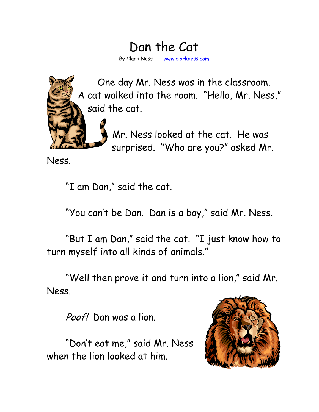## Dan the Cat By Clark Ness www.clarkness.com



One day Mr. Ness was in the classroom. A cat walked into the room. "Hello, Mr. Ness," said the cat.

> Mr. Ness looked at the cat. He was surprised. "Who are you?" asked Mr.

Ness.

"I am Dan," said the cat.

"You can't be Dan. Dan is a boy," said Mr. Ness.

"But I am Dan," said the cat. "I just know how to turn myself into all kinds of animals."

"Well then prove it and turn into a lion," said Mr. Ness.

Poof! Dan was a lion.

"Don't eat me," said Mr. Ness when the lion looked at him.

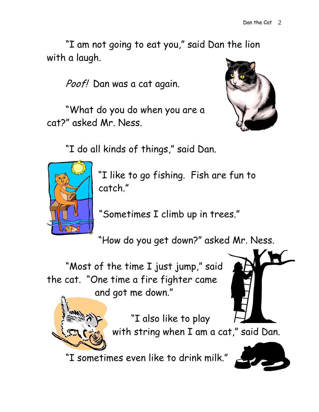"I am not going to eat you," said Dan the lion with a laugh.

Poof! Dan was a cat again.

"What do you do when you are a cat?" asked Mr. Ness.



"I do all kinds of things," said Dan.



"I like to go fishing. Fish are fun to catch."

"Sometimes I climb up in trees."

"How do you get down?" asked Mr. Ness.

"Most of the time I just jump," said the cat. "One time a fire fighter came and got me down."





"I also like to play

with string when I am a cat," said Dan.

"I sometimes even like to drink milk."